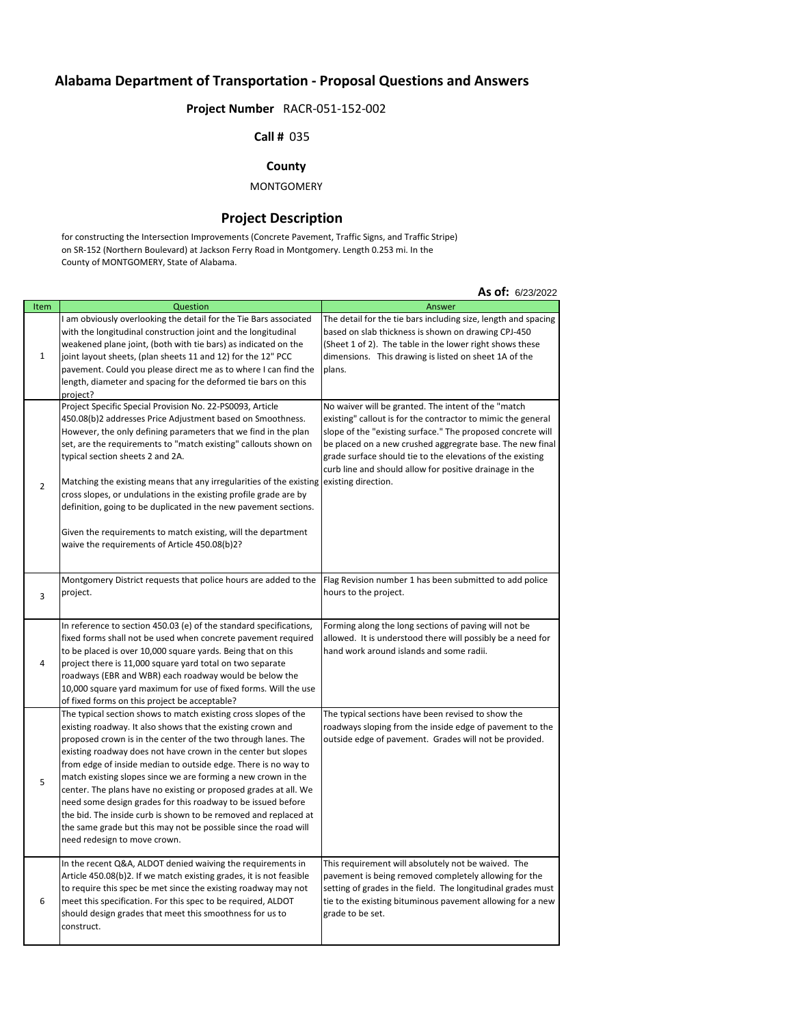# **Alabama Department of Transportation - Proposal Questions and Answers**

# **Project Number** RACR-051-152-002

#### **Call #** 035

## **County**

### MONTGOMERY

#### **Project Description**

for constructing the Intersection Improvements (Concrete Pavement, Traffic Signs, and Traffic Stripe) on SR-152 (Northern Boulevard) at Jackson Ferry Road in Montgomery. Length 0.253 mi. In the County of MONTGOMERY, State of Alabama.

|                |                                                                                                                                                                                                                                                                                                                                                                                                                                                                                                                                                                                                                                                                                                               | <b>NJ VII</b> WEJILULL                                                                                                                                                                                                                                                                                                                                                   |
|----------------|---------------------------------------------------------------------------------------------------------------------------------------------------------------------------------------------------------------------------------------------------------------------------------------------------------------------------------------------------------------------------------------------------------------------------------------------------------------------------------------------------------------------------------------------------------------------------------------------------------------------------------------------------------------------------------------------------------------|--------------------------------------------------------------------------------------------------------------------------------------------------------------------------------------------------------------------------------------------------------------------------------------------------------------------------------------------------------------------------|
| Item           | Question                                                                                                                                                                                                                                                                                                                                                                                                                                                                                                                                                                                                                                                                                                      | Answer                                                                                                                                                                                                                                                                                                                                                                   |
| $\mathbf{1}$   | I am obviously overlooking the detail for the Tie Bars associated<br>with the longitudinal construction joint and the longitudinal<br>weakened plane joint, (both with tie bars) as indicated on the<br>joint layout sheets, (plan sheets 11 and 12) for the 12" PCC<br>pavement. Could you please direct me as to where I can find the<br>length, diameter and spacing for the deformed tie bars on this<br>project?                                                                                                                                                                                                                                                                                         | The detail for the tie bars including size, length and spacing<br>based on slab thickness is shown on drawing CPJ-450<br>(Sheet 1 of 2). The table in the lower right shows these<br>dimensions. This drawing is listed on sheet 1A of the<br>plans.                                                                                                                     |
| $\overline{2}$ | Project Specific Special Provision No. 22-PS0093, Article<br>450.08(b)2 addresses Price Adjustment based on Smoothness.<br>However, the only defining parameters that we find in the plan<br>set, are the requirements to "match existing" callouts shown on<br>typical section sheets 2 and 2A.<br>Matching the existing means that any irregularities of the existing existing direction.<br>cross slopes, or undulations in the existing profile grade are by<br>definition, going to be duplicated in the new pavement sections.<br>Given the requirements to match existing, will the department<br>waive the requirements of Article 450.08(b)2?                                                        | No waiver will be granted. The intent of the "match<br>existing" callout is for the contractor to mimic the general<br>slope of the "existing surface." The proposed concrete will<br>be placed on a new crushed aggregrate base. The new final<br>grade surface should tie to the elevations of the existing<br>curb line and should allow for positive drainage in the |
| 3              | Montgomery District requests that police hours are added to the<br>project.                                                                                                                                                                                                                                                                                                                                                                                                                                                                                                                                                                                                                                   | Flag Revision number 1 has been submitted to add police<br>hours to the project.                                                                                                                                                                                                                                                                                         |
| 4              | In reference to section 450.03 (e) of the standard specifications,<br>fixed forms shall not be used when concrete pavement required<br>to be placed is over 10,000 square yards. Being that on this<br>project there is 11,000 square yard total on two separate<br>roadways (EBR and WBR) each roadway would be below the<br>10,000 square yard maximum for use of fixed forms. Will the use<br>of fixed forms on this project be acceptable?                                                                                                                                                                                                                                                                | Forming along the long sections of paving will not be<br>allowed. It is understood there will possibly be a need for<br>hand work around islands and some radii.                                                                                                                                                                                                         |
| 5              | The typical section shows to match existing cross slopes of the<br>existing roadway. It also shows that the existing crown and<br>proposed crown is in the center of the two through lanes. The<br>existing roadway does not have crown in the center but slopes<br>from edge of inside median to outside edge. There is no way to<br>match existing slopes since we are forming a new crown in the<br>center. The plans have no existing or proposed grades at all. We<br>need some design grades for this roadway to be issued before<br>the bid. The inside curb is shown to be removed and replaced at<br>the same grade but this may not be possible since the road will<br>need redesign to move crown. | The typical sections have been revised to show the<br>roadways sloping from the inside edge of pavement to the<br>outside edge of pavement. Grades will not be provided.                                                                                                                                                                                                 |
| 6              | In the recent Q&A, ALDOT denied waiving the requirements in<br>Article 450.08(b)2. If we match existing grades, it is not feasible<br>to require this spec be met since the existing roadway may not<br>meet this specification. For this spec to be required, ALDOT<br>should design grades that meet this smoothness for us to<br>construct.                                                                                                                                                                                                                                                                                                                                                                | This requirement will absolutely not be waived. The<br>pavement is being removed completely allowing for the<br>setting of grades in the field. The longitudinal grades must<br>tie to the existing bituminous pavement allowing for a new<br>grade to be set.                                                                                                           |

#### **As of:** 6/23/2022